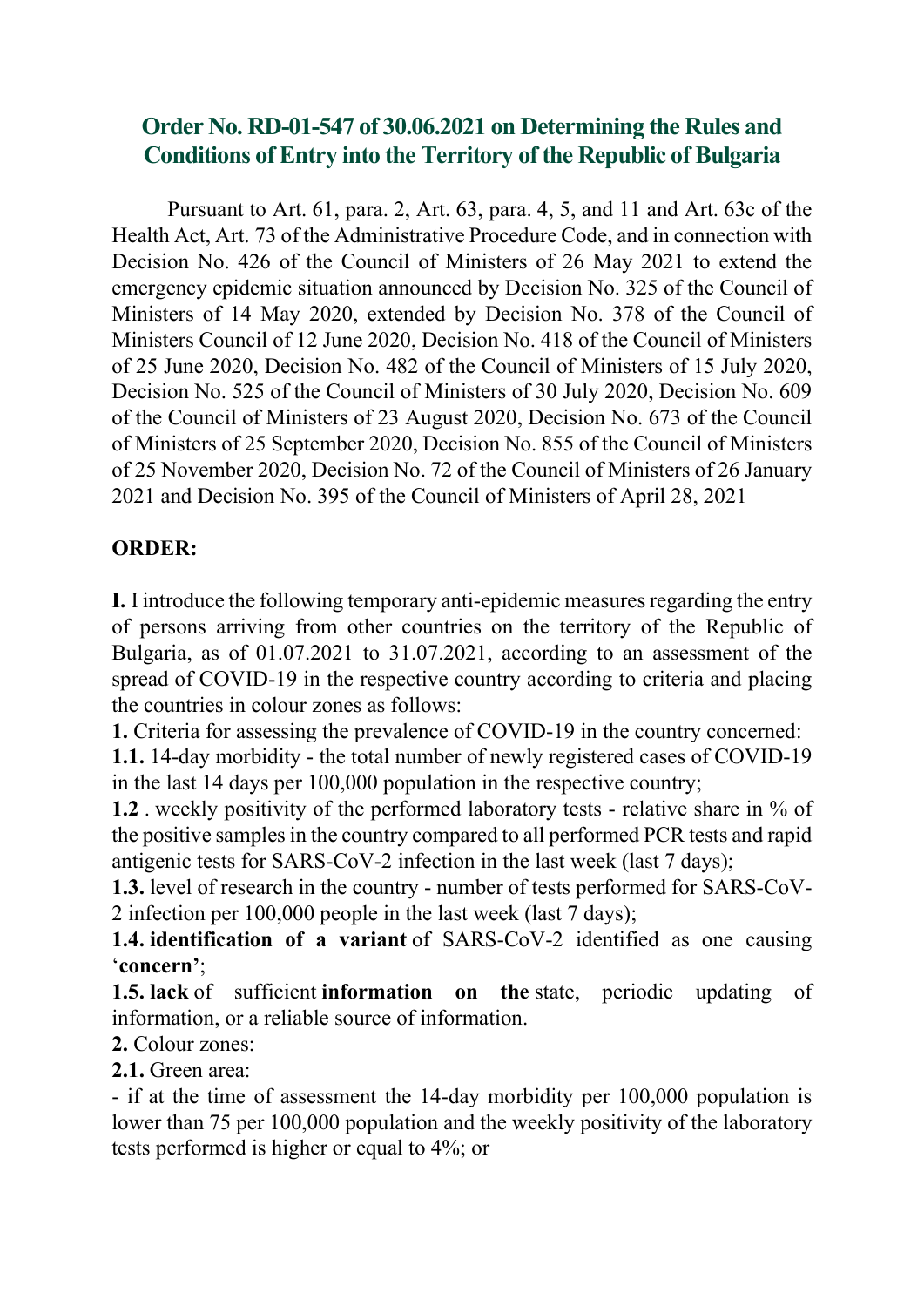## Order No. RD-01-547 of 30.06.2021 on Determining the Rules and Conditions of Entry into the Territory of the Republic of Bulgaria

Pursuant to Art. 61, para. 2, Art. 63, para. 4, 5, and 11 and Art. 63c of the Health Act, Art. 73 of the Administrative Procedure Code, and in connection with Decision No. 426 of the Council of Ministers of 26 May 2021 to extend the emergency epidemic situation announced by Decision No. 325 of the Council of Ministers of 14 May 2020, extended by Decision No. 378 of the Council of Ministers Council of 12 June 2020, Decision No. 418 of the Council of Ministers of 25 June 2020, Decision No. 482 of the Council of Ministers of 15 July 2020, Decision No. 525 of the Council of Ministers of 30 July 2020, Decision No. 609 of the Council of Ministers of 23 August 2020, Decision No. 673 of the Council of Ministers of 25 September 2020, Decision No. 855 of the Council of Ministers of 25 November 2020, Decision No. 72 of the Council of Ministers of 26 January 2021 and Decision No. 395 of the Council of Ministers of April 28, 2021

### ORDER:

I. I introduce the following temporary anti-epidemic measures regarding the entry of persons arriving from other countries on the territory of the Republic of Bulgaria, as of 01.07.2021 to 31.07.2021, according to an assessment of the spread of COVID-19 in the respective country according to criteria and placing the countries in colour zones as follows:

1. Criteria for assessing the prevalence of COVID-19 in the country concerned:

1.1. 14-day morbidity - the total number of newly registered cases of COVID-19 in the last 14 days per 100,000 population in the respective country;

1.2 . weekly positivity of the performed laboratory tests - relative share in % of the positive samples in the country compared to all performed PCR tests and rapid antigenic tests for SARS-CoV-2 infection in the last week (last 7 days);

1.3. level of research in the country - number of tests performed for SARS-CoV-2 infection per 100,000 people in the last week (last 7 days);

1.4. identification of a variant of SARS-CoV-2 identified as one causing 'concern';

1.5. lack of sufficient information on the state, periodic updating of information, or a reliable source of information.

2. Colour zones:

2.1. Green area:

- if at the time of assessment the 14-day morbidity per 100,000 population is lower than 75 per 100,000 population and the weekly positivity of the laboratory tests performed is higher or equal to 4%; or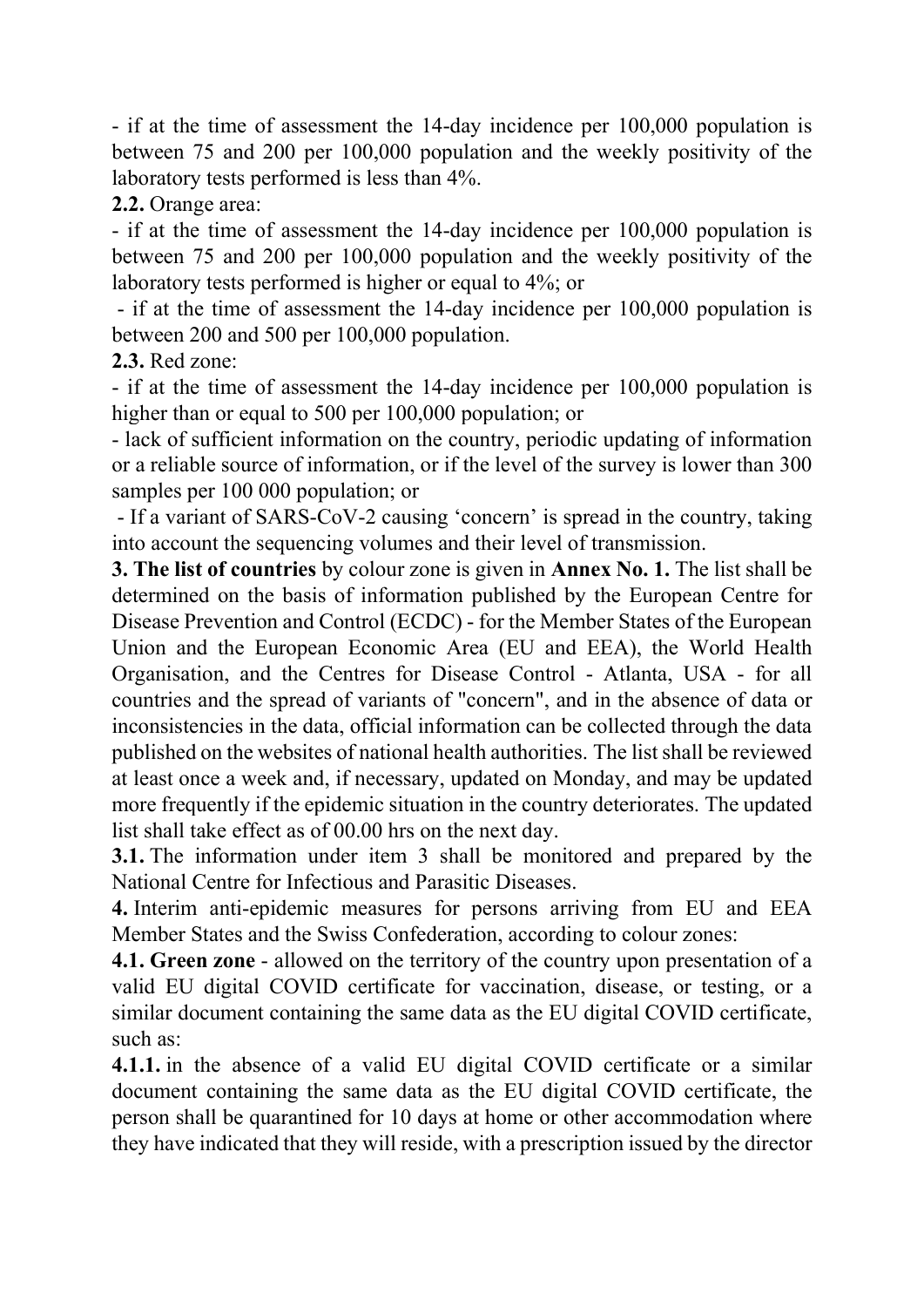- if at the time of assessment the 14-day incidence per 100,000 population is between 75 and 200 per 100,000 population and the weekly positivity of the laboratory tests performed is less than 4%.

2.2. Orange area:

- if at the time of assessment the 14-day incidence per 100,000 population is between 75 and 200 per 100,000 population and the weekly positivity of the laboratory tests performed is higher or equal to 4%; or

 - if at the time of assessment the 14-day incidence per 100,000 population is between 200 and 500 per 100,000 population.

2.3. Red zone:

- if at the time of assessment the 14-day incidence per 100,000 population is higher than or equal to 500 per 100,000 population; or

- lack of sufficient information on the country, periodic updating of information or a reliable source of information, or if the level of the survey is lower than 300 samples per 100 000 population; or

 - If a variant of SARS-CoV-2 causing 'concern' is spread in the country, taking into account the sequencing volumes and their level of transmission.

3. The list of countries by colour zone is given in Annex No. 1. The list shall be determined on the basis of information published by the European Centre for Disease Prevention and Control (ECDC) - for the Member States of the European Union and the European Economic Area (EU and EEA), the World Health Organisation, and the Centres for Disease Control - Atlanta, USA - for all countries and the spread of variants of "concern", and in the absence of data or inconsistencies in the data, official information can be collected through the data published on the websites of national health authorities. The list shall be reviewed at least once a week and, if necessary, updated on Monday, and may be updated more frequently if the epidemic situation in the country deteriorates. The updated list shall take effect as of 00.00 hrs on the next day.

3.1. The information under item 3 shall be monitored and prepared by the National Centre for Infectious and Parasitic Diseases.

4. Interim anti-epidemic measures for persons arriving from EU and EEA Member States and the Swiss Confederation, according to colour zones:

4.1. Green zone - allowed on the territory of the country upon presentation of a valid EU digital COVID certificate for vaccination, disease, or testing, or a similar document containing the same data as the EU digital COVID certificate, such as:

4.1.1. in the absence of a valid EU digital COVID certificate or a similar document containing the same data as the EU digital COVID certificate, the person shall be quarantined for 10 days at home or other accommodation where they have indicated that they will reside, with a prescription issued by the director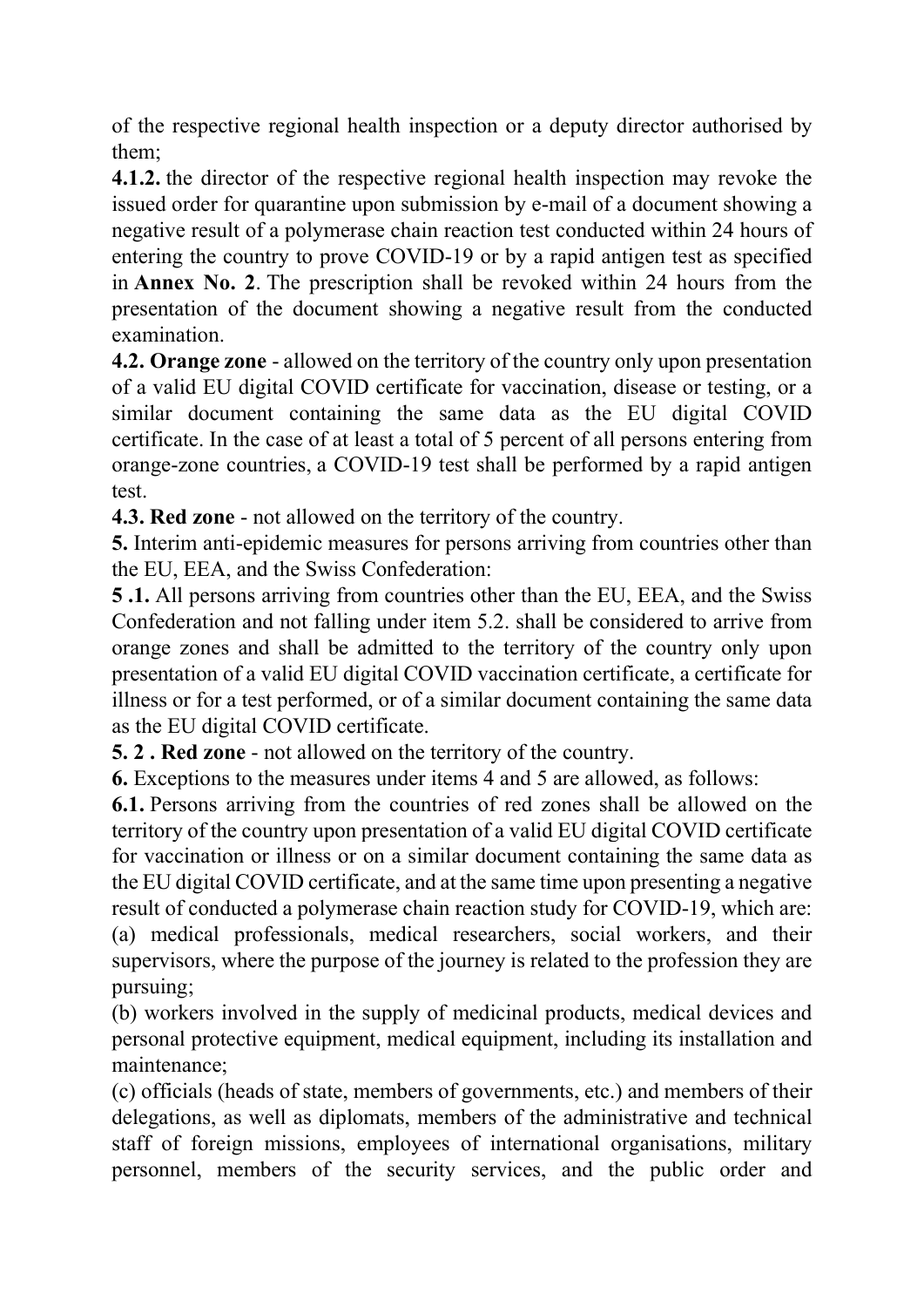of the respective regional health inspection or a deputy director authorised by them;

4.1.2. the director of the respective regional health inspection may revoke the issued order for quarantine upon submission by e-mail of a document showing a negative result of a polymerase chain reaction test conducted within 24 hours of entering the country to prove COVID-19 or by a rapid antigen test as specified in Annex No. 2. The prescription shall be revoked within 24 hours from the presentation of the document showing a negative result from the conducted examination.

4.2. Orange zone - allowed on the territory of the country only upon presentation of a valid EU digital COVID certificate for vaccination, disease or testing, or a similar document containing the same data as the EU digital COVID certificate. In the case of at least a total of 5 percent of all persons entering from orange-zone countries, a COVID-19 test shall be performed by a rapid antigen test.

4.3. Red zone - not allowed on the territory of the country.

5. Interim anti-epidemic measures for persons arriving from countries other than the EU, EEA, and the Swiss Confederation:

5 .1. All persons arriving from countries other than the EU, EEA, and the Swiss Confederation and not falling under item 5.2. shall be considered to arrive from orange zones and shall be admitted to the territory of the country only upon presentation of a valid EU digital COVID vaccination certificate, a certificate for illness or for a test performed, or of a similar document containing the same data as the EU digital COVID certificate.

5. 2 . Red zone - not allowed on the territory of the country.

6. Exceptions to the measures under items 4 and 5 are allowed, as follows:

6.1. Persons arriving from the countries of red zones shall be allowed on the territory of the country upon presentation of a valid EU digital COVID certificate for vaccination or illness or on a similar document containing the same data as the EU digital COVID certificate, and at the same time upon presenting a negative result of conducted a polymerase chain reaction study for COVID-19, which are: (a) medical professionals, medical researchers, social workers, and their supervisors, where the purpose of the journey is related to the profession they are pursuing;

(b) workers involved in the supply of medicinal products, medical devices and personal protective equipment, medical equipment, including its installation and maintenance;

(c) officials (heads of state, members of governments, etc.) and members of their delegations, as well as diplomats, members of the administrative and technical staff of foreign missions, employees of international organisations, military personnel, members of the security services, and the public order and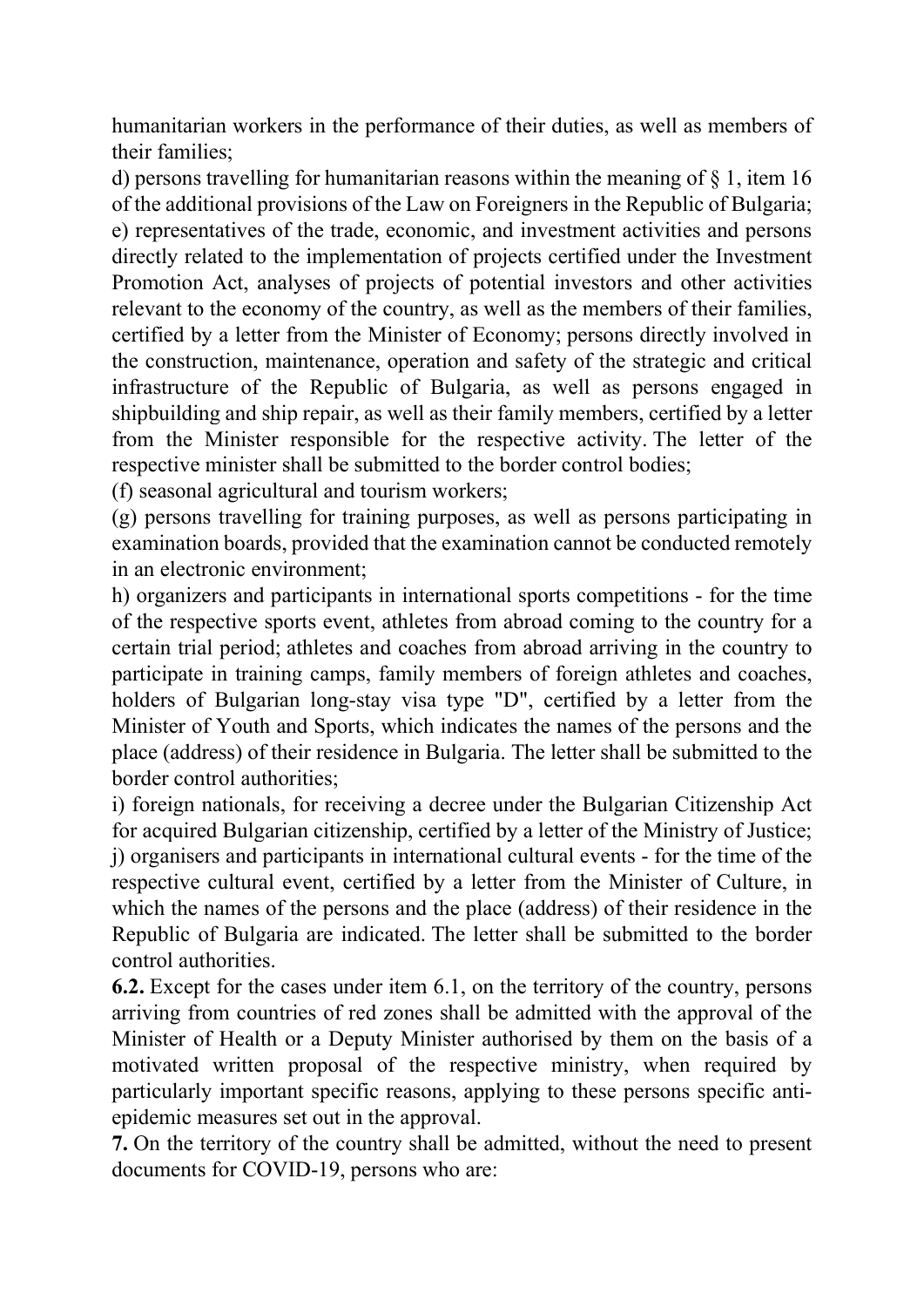humanitarian workers in the performance of their duties, as well as members of their families;

d) persons travelling for humanitarian reasons within the meaning of § 1, item 16 of the additional provisions of the Law on Foreigners in the Republic of Bulgaria; e) representatives of the trade, economic, and investment activities and persons directly related to the implementation of projects certified under the Investment Promotion Act, analyses of projects of potential investors and other activities relevant to the economy of the country, as well as the members of their families, certified by a letter from the Minister of Economy; persons directly involved in the construction, maintenance, operation and safety of the strategic and critical infrastructure of the Republic of Bulgaria, as well as persons engaged in shipbuilding and ship repair, as well as their family members, certified by a letter from the Minister responsible for the respective activity. The letter of the respective minister shall be submitted to the border control bodies;

(f) seasonal agricultural and tourism workers;

(g) persons travelling for training purposes, as well as persons participating in examination boards, provided that the examination cannot be conducted remotely in an electronic environment;

h) organizers and participants in international sports competitions - for the time of the respective sports event, athletes from abroad coming to the country for a certain trial period; athletes and coaches from abroad arriving in the country to participate in training camps, family members of foreign athletes and coaches, holders of Bulgarian long-stay visa type "D", certified by a letter from the Minister of Youth and Sports, which indicates the names of the persons and the place (address) of their residence in Bulgaria. The letter shall be submitted to the border control authorities;

i) foreign nationals, for receiving a decree under the Bulgarian Citizenship Act for acquired Bulgarian citizenship, certified by a letter of the Ministry of Justice; j) organisers and participants in international cultural events - for the time of the respective cultural event, certified by a letter from the Minister of Culture, in which the names of the persons and the place (address) of their residence in the Republic of Bulgaria are indicated. The letter shall be submitted to the border control authorities.

6.2. Except for the cases under item 6.1, on the territory of the country, persons arriving from countries of red zones shall be admitted with the approval of the Minister of Health or a Deputy Minister authorised by them on the basis of a motivated written proposal of the respective ministry, when required by particularly important specific reasons, applying to these persons specific antiepidemic measures set out in the approval.

7. On the territory of the country shall be admitted, without the need to present documents for COVID-19, persons who are: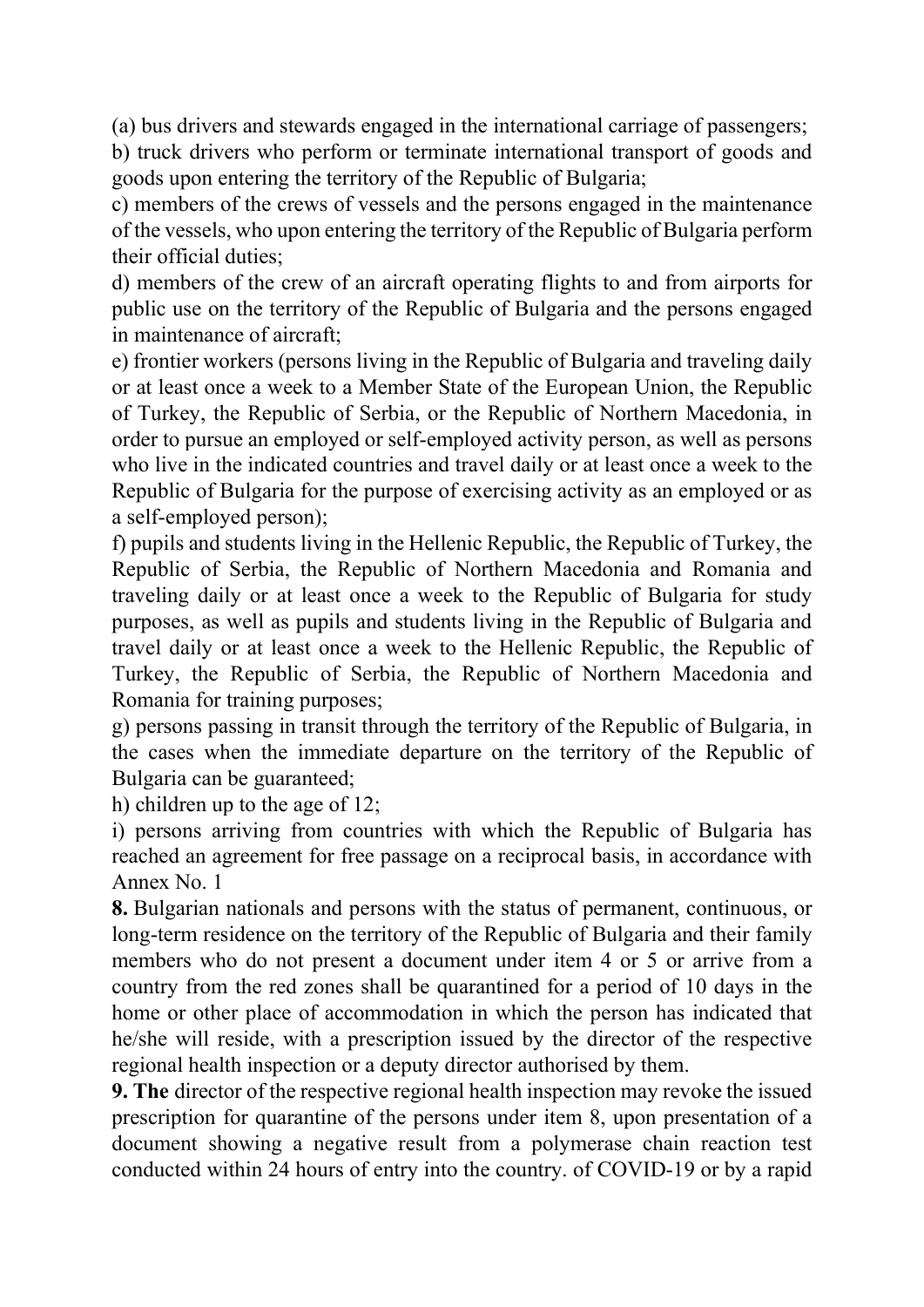(a) bus drivers and stewards engaged in the international carriage of passengers;

b) truck drivers who perform or terminate international transport of goods and goods upon entering the territory of the Republic of Bulgaria;

c) members of the crews of vessels and the persons engaged in the maintenance of the vessels, who upon entering the territory of the Republic of Bulgaria perform their official duties;

d) members of the crew of an aircraft operating flights to and from airports for public use on the territory of the Republic of Bulgaria and the persons engaged in maintenance of aircraft;

e) frontier workers (persons living in the Republic of Bulgaria and traveling daily or at least once a week to a Member State of the European Union, the Republic of Turkey, the Republic of Serbia, or the Republic of Northern Macedonia, in order to pursue an employed or self-employed activity person, as well as persons who live in the indicated countries and travel daily or at least once a week to the Republic of Bulgaria for the purpose of exercising activity as an employed or as a self-employed person);

f) pupils and students living in the Hellenic Republic, the Republic of Turkey, the Republic of Serbia, the Republic of Northern Macedonia and Romania and traveling daily or at least once a week to the Republic of Bulgaria for study purposes, as well as pupils and students living in the Republic of Bulgaria and travel daily or at least once a week to the Hellenic Republic, the Republic of Turkey, the Republic of Serbia, the Republic of Northern Macedonia and Romania for training purposes;

g) persons passing in transit through the territory of the Republic of Bulgaria, in the cases when the immediate departure on the territory of the Republic of Bulgaria can be guaranteed;

h) children up to the age of 12;

i) persons arriving from countries with which the Republic of Bulgaria has reached an agreement for free passage on a reciprocal basis, in accordance with Annex No. 1

8. Bulgarian nationals and persons with the status of permanent, continuous, or long-term residence on the territory of the Republic of Bulgaria and their family members who do not present a document under item 4 or 5 or arrive from a country from the red zones shall be quarantined for a period of 10 days in the home or other place of accommodation in which the person has indicated that he/she will reside, with a prescription issued by the director of the respective regional health inspection or a deputy director authorised by them.

9. The director of the respective regional health inspection may revoke the issued prescription for quarantine of the persons under item 8, upon presentation of a document showing a negative result from a polymerase chain reaction test conducted within 24 hours of entry into the country. of COVID-19 or by a rapid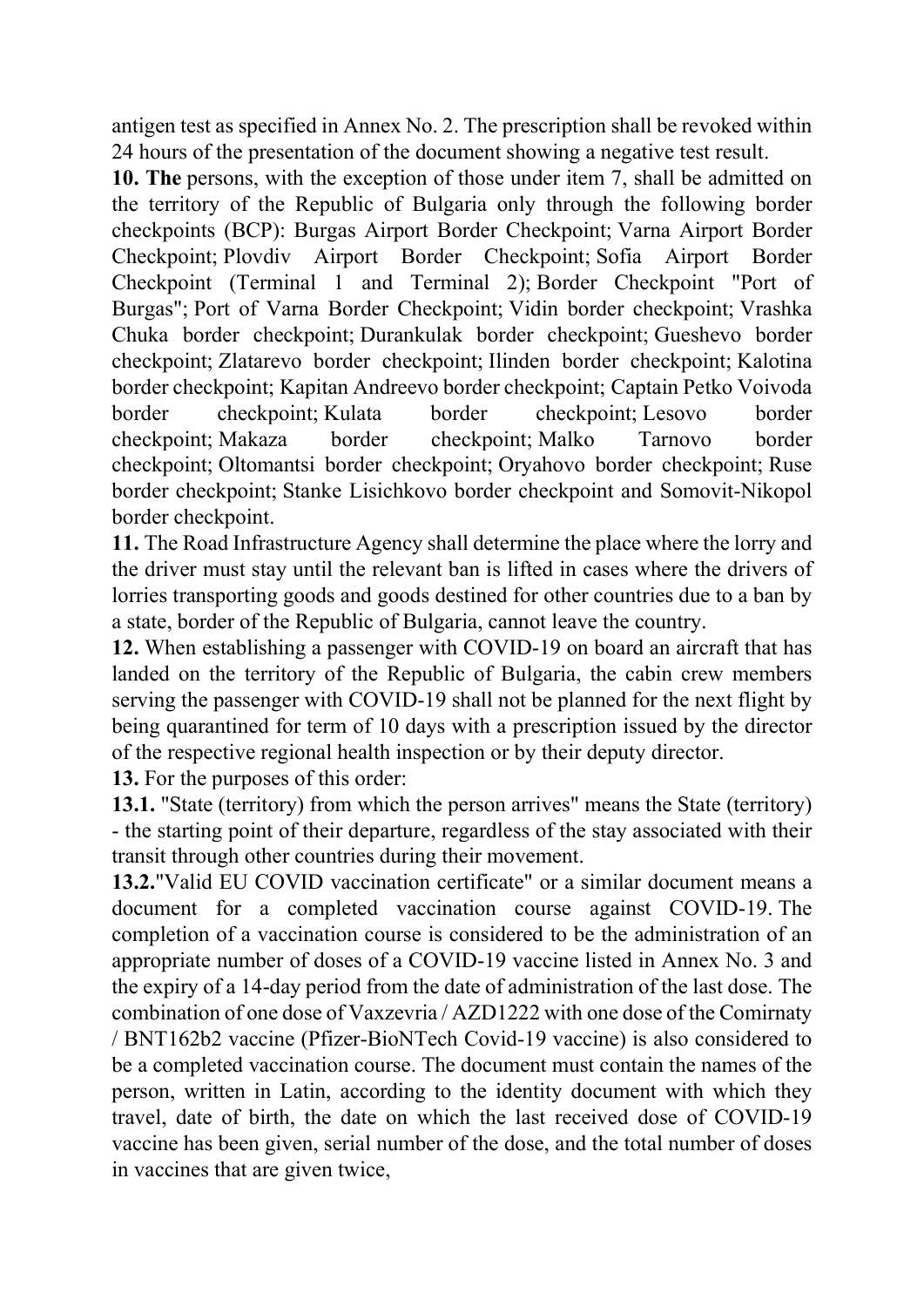antigen test as specified in Annex No. 2. The prescription shall be revoked within 24 hours of the presentation of the document showing a negative test result.

10. The persons, with the exception of those under item 7, shall be admitted on the territory of the Republic of Bulgaria only through the following border checkpoints (BCP): Burgas Airport Border Checkpoint; Varna Airport Border Checkpoint; Plovdiv Airport Border Checkpoint; Sofia Airport Border Checkpoint (Terminal 1 and Terminal 2); Border Checkpoint "Port of Burgas"; Port of Varna Border Checkpoint; Vidin border checkpoint; Vrashka Chuka border checkpoint; Durankulak border checkpoint; Gueshevo border checkpoint; Zlatarevo border checkpoint; Ilinden border checkpoint; Kalotina border checkpoint; Kapitan Andreevo border checkpoint; Captain Petko Voivoda border checkpoint; Kulata border checkpoint; Lesovo border checkpoint; Makaza border checkpoint; Malko Tarnovo border checkpoint; Oltomantsi border checkpoint; Oryahovo border checkpoint; Ruse border checkpoint; Stanke Lisichkovo border checkpoint and Somovit-Nikopol border checkpoint.

11. The Road Infrastructure Agency shall determine the place where the lorry and the driver must stay until the relevant ban is lifted in cases where the drivers of lorries transporting goods and goods destined for other countries due to a ban by a state, border of the Republic of Bulgaria, cannot leave the country.

12. When establishing a passenger with COVID-19 on board an aircraft that has landed on the territory of the Republic of Bulgaria, the cabin crew members serving the passenger with COVID-19 shall not be planned for the next flight by being quarantined for term of 10 days with a prescription issued by the director of the respective regional health inspection or by their deputy director.

13. For the purposes of this order:

13.1. "State (territory) from which the person arrives" means the State (territory) - the starting point of their departure, regardless of the stay associated with their transit through other countries during their movement.

13.2."Valid EU COVID vaccination certificate" or a similar document means a document for a completed vaccination course against COVID-19. The completion of a vaccination course is considered to be the administration of an appropriate number of doses of a COVID-19 vaccine listed in Annex No. 3 and the expiry of a 14-day period from the date of administration of the last dose. The combination of one dose of Vaxzevria / AZD1222 with one dose of the Comirnaty / BNT162b2 vaccine (Pfizer-BioNTech Covid-19 vaccine) is also considered to be a completed vaccination course. The document must contain the names of the person, written in Latin, according to the identity document with which they travel, date of birth, the date on which the last received dose of COVID-19 vaccine has been given, serial number of the dose, and the total number of doses in vaccines that are given twice,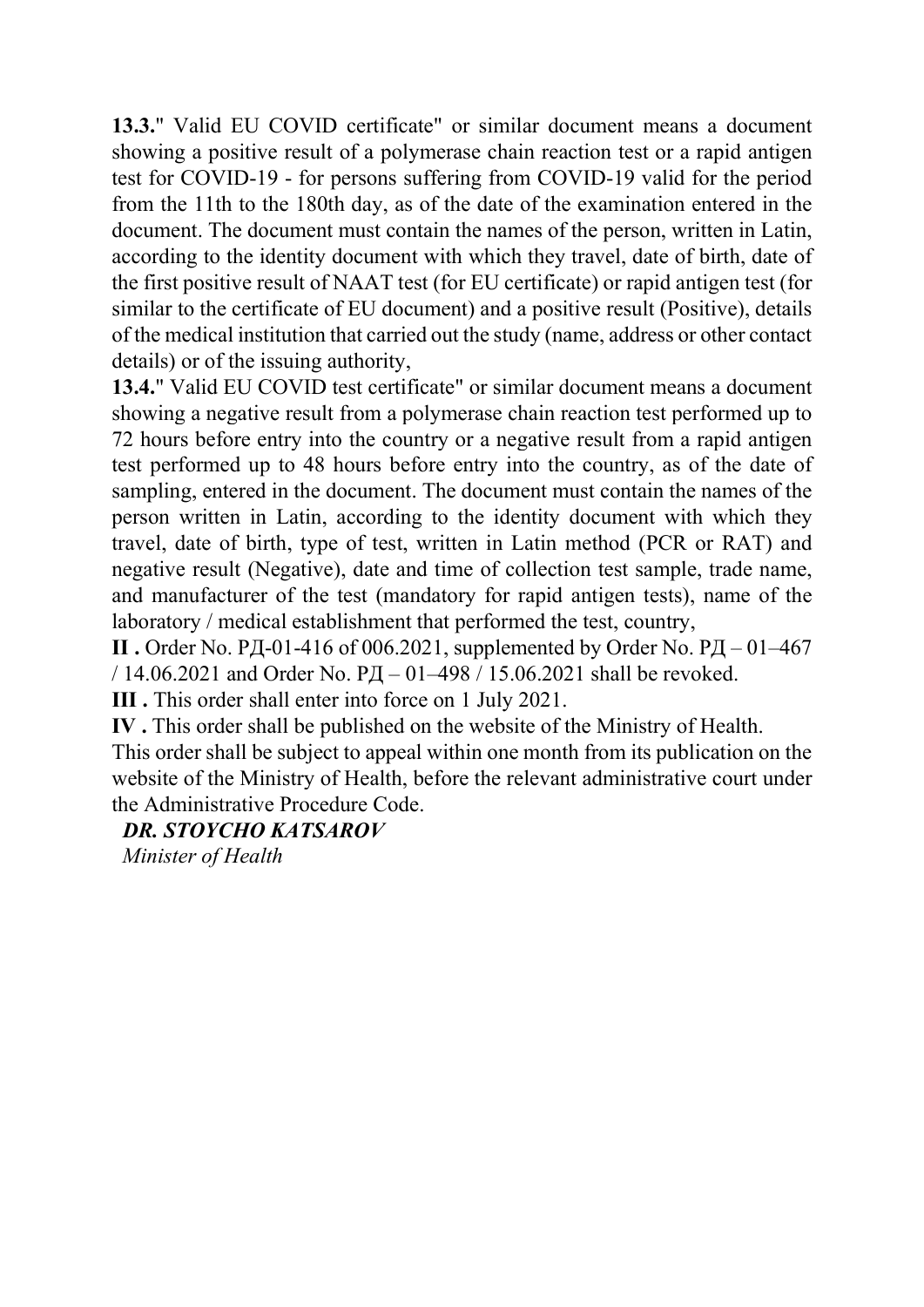13.3." Valid EU COVID certificate" or similar document means a document showing a positive result of a polymerase chain reaction test or a rapid antigen test for COVID-19 - for persons suffering from COVID-19 valid for the period from the 11th to the 180th day, as of the date of the examination entered in the document. The document must contain the names of the person, written in Latin, according to the identity document with which they travel, date of birth, date of the first positive result of NAAT test (for EU certificate) or rapid antigen test (for similar to the certificate of EU document) and a positive result (Positive), details of the medical institution that carried out the study (name, address or other contact details) or of the issuing authority,

13.4." Valid EU COVID test certificate" or similar document means a document showing a negative result from a polymerase chain reaction test performed up to 72 hours before entry into the country or a negative result from a rapid antigen test performed up to 48 hours before entry into the country, as of the date of sampling, entered in the document. The document must contain the names of the person written in Latin, according to the identity document with which they travel, date of birth, type of test, written in Latin method (PCR or RAT) and negative result (Negative), date and time of collection test sample, trade name, and manufacturer of the test (mandatory for rapid antigen tests), name of the laboratory / medical establishment that performed the test, country,

II. Order No. РД-01-416 of 006.2021, supplemented by Order No. РД $-01-467$ / 14.06.2021 and Order No.  $PI - 01 - 498$  / 15.06.2021 shall be revoked.

III . This order shall enter into force on 1 July 2021.

IV . This order shall be published on the website of the Ministry of Health.

This order shall be subject to appeal within one month from its publication on the website of the Ministry of Health, before the relevant administrative court under the Administrative Procedure Code.

#### DR. STOYCHO KATSAROV

Minister of Health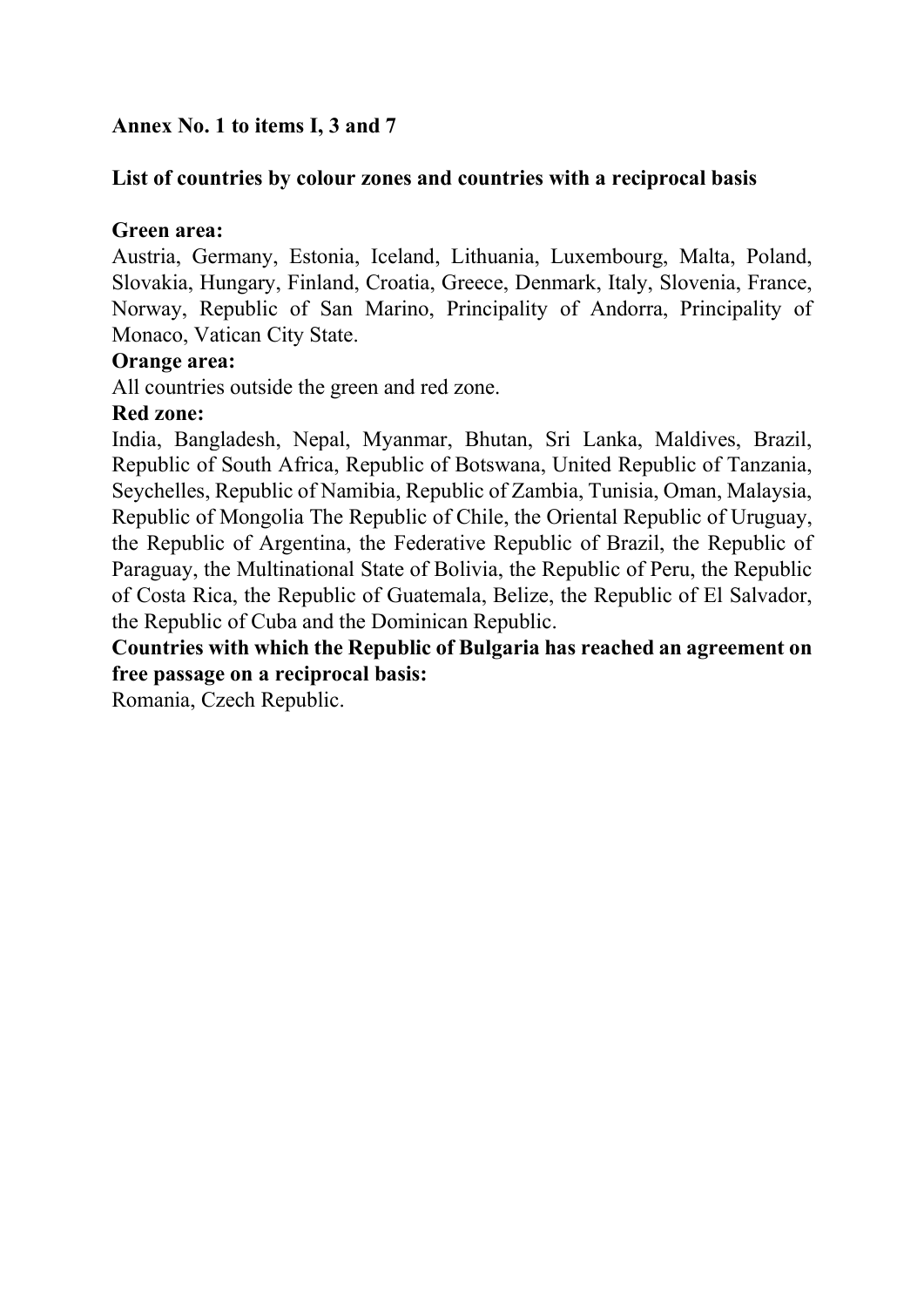#### Annex No. 1 to items I, 3 and 7

#### List of countries by colour zones and countries with a reciprocal basis

#### Green area:

Austria, Germany, Estonia, Iceland, Lithuania, Luxembourg, Malta, Poland, Slovakia, Hungary, Finland, Croatia, Greece, Denmark, Italy, Slovenia, France, Norway, Republic of San Marino, Principality of Andorra, Principality of Monaco, Vatican City State.

#### Orange area:

All countries outside the green and red zone.

#### Red zone:

India, Bangladesh, Nepal, Myanmar, Bhutan, Sri Lanka, Maldives, Brazil, Republic of South Africa, Republic of Botswana, United Republic of Tanzania, Seychelles, Republic of Namibia, Republic of Zambia, Tunisia, Oman, Malaysia, Republic of Mongolia The Republic of Chile, the Oriental Republic of Uruguay, the Republic of Argentina, the Federative Republic of Brazil, the Republic of Paraguay, the Multinational State of Bolivia, the Republic of Peru, the Republic of Costa Rica, the Republic of Guatemala, Belize, the Republic of El Salvador, the Republic of Cuba and the Dominican Republic.

Countries with which the Republic of Bulgaria has reached an agreement on free passage on a reciprocal basis:

Romania, Czech Republic.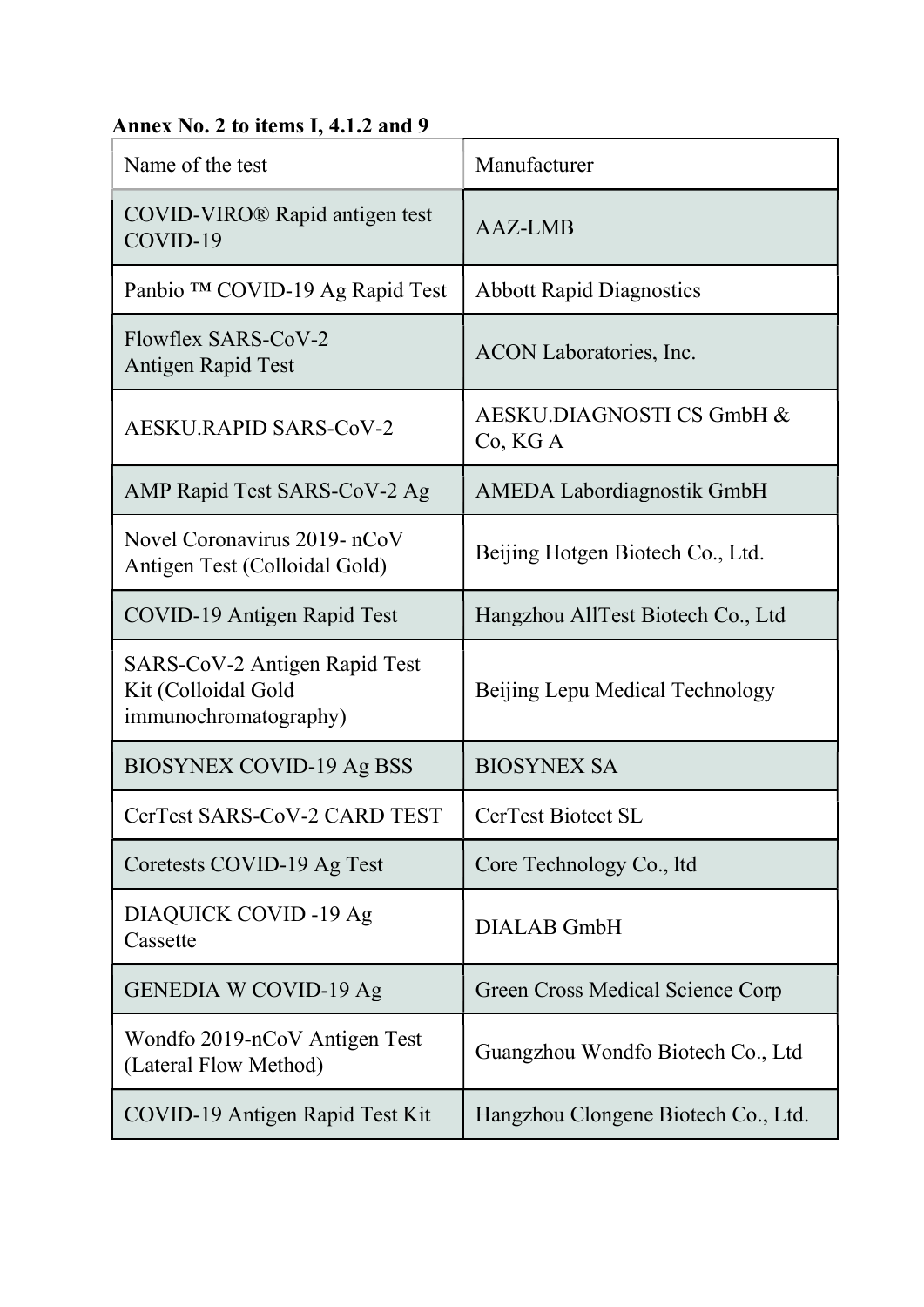# Annex No. 2 to items I, 4.1.2 and 9

| Name of the test                                                              | Manufacturer                          |  |
|-------------------------------------------------------------------------------|---------------------------------------|--|
| COVID-VIRO® Rapid antigen test<br>COVID-19                                    | <b>AAZ-LMB</b>                        |  |
| Panbio ™ COVID-19 Ag Rapid Test                                               | <b>Abbott Rapid Diagnostics</b>       |  |
| Flowflex SARS-CoV-2<br>Antigen Rapid Test                                     | ACON Laboratories, Inc.               |  |
| AESKU.RAPID SARS-CoV-2                                                        | AESKU.DIAGNOSTI CS GmbH &<br>Co, KG A |  |
| AMP Rapid Test SARS-CoV-2 Ag                                                  | <b>AMEDA Labordiagnostik GmbH</b>     |  |
| Novel Coronavirus 2019- nCoV<br>Antigen Test (Colloidal Gold)                 | Beijing Hotgen Biotech Co., Ltd.      |  |
| COVID-19 Antigen Rapid Test                                                   | Hangzhou AllTest Biotech Co., Ltd     |  |
| SARS-CoV-2 Antigen Rapid Test<br>Kit (Colloidal Gold<br>immunochromatography) | Beijing Lepu Medical Technology       |  |
| <b>BIOSYNEX COVID-19 Ag BSS</b>                                               | <b>BIOSYNEX SA</b>                    |  |
| CerTest SARS-CoV-2 CARD TEST                                                  | CerTest Biotect SL                    |  |
| Coretests COVID-19 Ag Test                                                    | Core Technology Co., ltd              |  |
| DIAQUICK COVID -19 Ag<br>Cassette                                             | <b>DIALAB</b> GmbH                    |  |
| <b>GENEDIA W COVID-19 Ag</b>                                                  | Green Cross Medical Science Corp      |  |
| Wondfo 2019-nCoV Antigen Test<br>(Lateral Flow Method)                        | Guangzhou Wondfo Biotech Co., Ltd     |  |
| COVID-19 Antigen Rapid Test Kit                                               | Hangzhou Clongene Biotech Co., Ltd.   |  |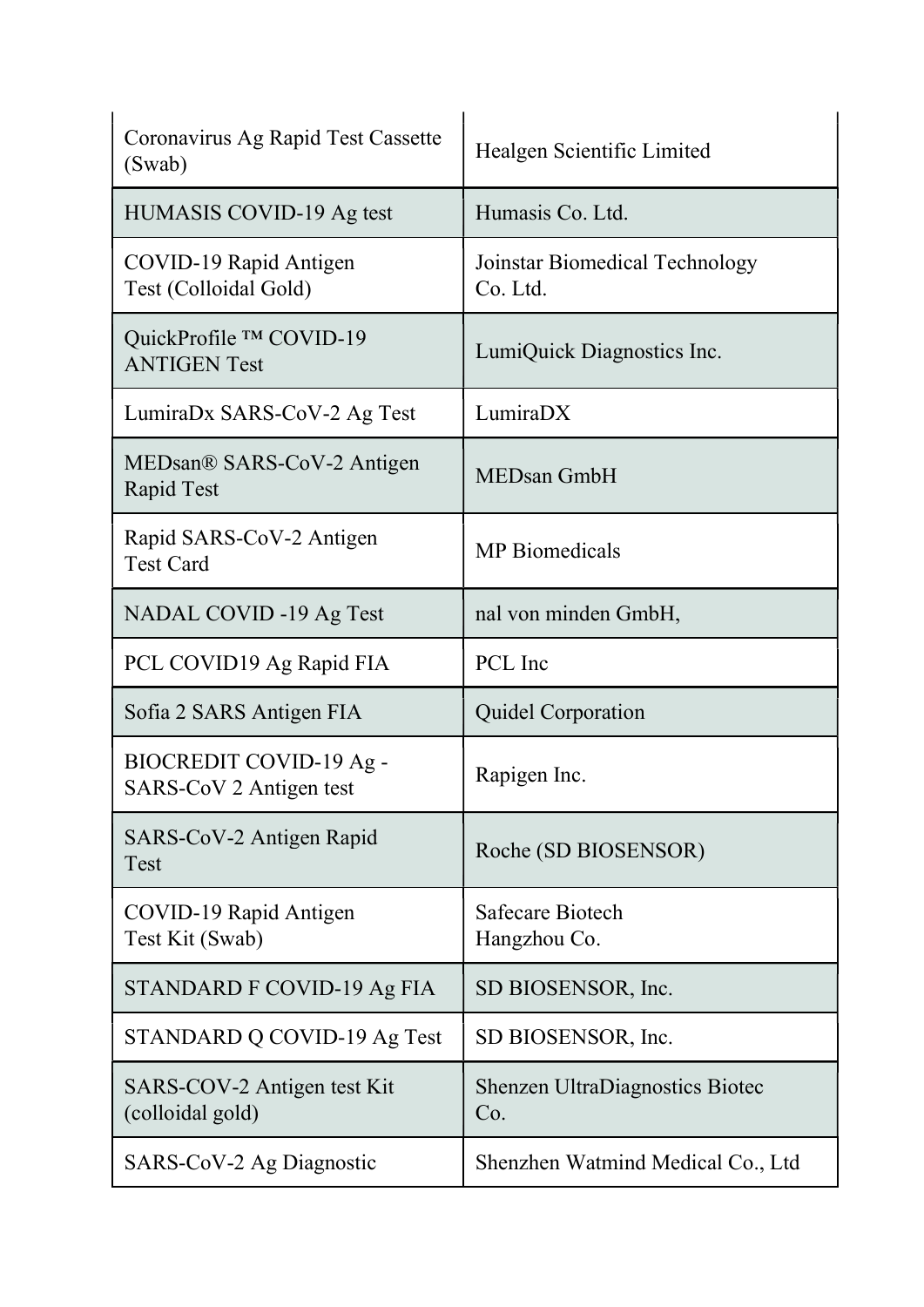| Coronavirus Ag Rapid Test Cassette<br>(Swab)       | Healgen Scientific Limited                    |
|----------------------------------------------------|-----------------------------------------------|
| HUMASIS COVID-19 Ag test                           | Humasis Co. Ltd.                              |
| COVID-19 Rapid Antigen<br>Test (Colloidal Gold)    | Joinstar Biomedical Technology<br>Co. Ltd.    |
| QuickProfile ™ COVID-19<br><b>ANTIGEN Test</b>     | LumiQuick Diagnostics Inc.                    |
| LumiraDx SARS-CoV-2 Ag Test                        | LumiraDX                                      |
| MEDsan® SARS-CoV-2 Antigen<br>Rapid Test           | <b>MEDsan GmbH</b>                            |
| Rapid SARS-CoV-2 Antigen<br><b>Test Card</b>       | <b>MP</b> Biomedicals                         |
| NADAL COVID -19 Ag Test                            | nal von minden GmbH,                          |
| PCL COVID19 Ag Rapid FIA                           | PCL Inc                                       |
| Sofia 2 SARS Antigen FIA                           | <b>Quidel Corporation</b>                     |
| BIOCREDIT COVID-19 Ag -<br>SARS-CoV 2 Antigen test | Rapigen Inc.                                  |
| SARS-CoV-2 Antigen Rapid<br>Test                   | Roche (SD BIOSENSOR)                          |
| COVID-19 Rapid Antigen<br>Test Kit (Swab)          | <b>Safecare Biotech</b><br>Hangzhou Co.       |
| STANDARD F COVID-19 Ag FIA                         | SD BIOSENSOR, Inc.                            |
| STANDARD Q COVID-19 Ag Test                        | SD BIOSENSOR, Inc.                            |
| SARS-COV-2 Antigen test Kit<br>(colloidal gold)    | <b>Shenzen UltraDiagnostics Biotec</b><br>Co. |
| SARS-CoV-2 Ag Diagnostic                           | Shenzhen Watmind Medical Co., Ltd             |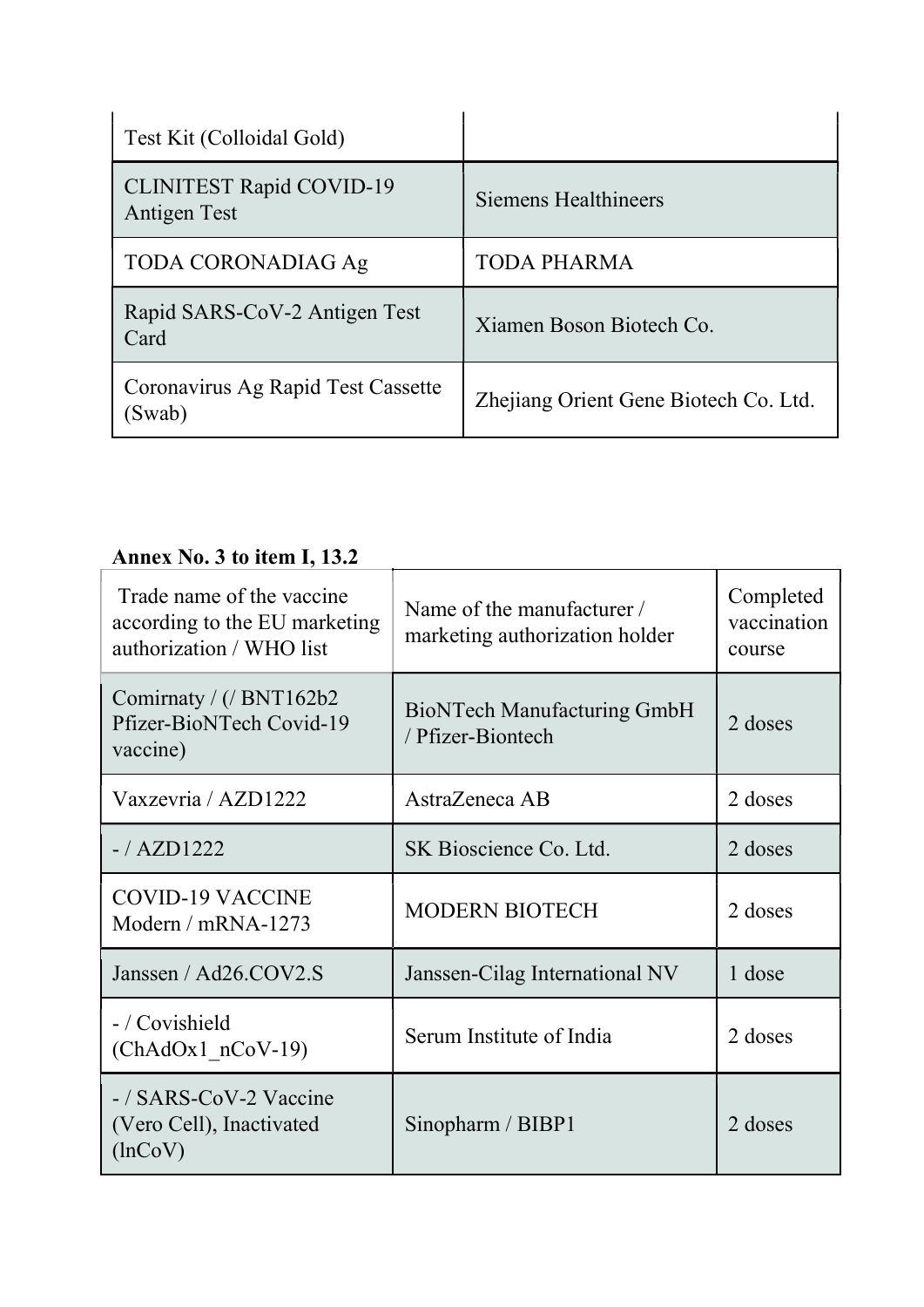| Test Kit (Colloidal Gold)                       |                                       |
|-------------------------------------------------|---------------------------------------|
| <b>CLINITEST Rapid COVID-19</b><br>Antigen Test | Siemens Healthineers                  |
| <b>TODA CORONADIAG Ag</b>                       | <b>TODA PHARMA</b>                    |
| Rapid SARS-CoV-2 Antigen Test<br>Card           | Xiamen Boson Biotech Co.              |
| Coronavirus Ag Rapid Test Cassette<br>Swab)     | Zhejiang Orient Gene Biotech Co. Ltd. |

# Annex No. 3 to item I, 13.2

| Trade name of the vaccine<br>according to the EU marketing<br>authorization / WHO list | Name of the manufacturer /<br>marketing authorization holder | Completed<br>vaccination<br>course |
|----------------------------------------------------------------------------------------|--------------------------------------------------------------|------------------------------------|
| Comirnaty / $\frac{1}{2}$ BNT162b2<br>Pfizer-BioNTech Covid-19<br>vaccine)             | <b>BioNTech Manufacturing GmbH</b><br>/ Pfizer-Biontech      | 2 doses                            |
| Vaxzevria / AZD1222                                                                    | AstraZeneca AB                                               | 2 doses                            |
| $-$ /AZD1222                                                                           | SK Bioscience Co. Ltd.                                       | 2 doses                            |
| <b>COVID-19 VACCINE</b><br>Modern / $mRNA-1273$                                        | <b>MODERN BIOTECH</b>                                        | 2 doses                            |
| Janssen / Ad26.COV2.S                                                                  | Janssen-Cilag International NV                               | 1 dose                             |
| - / Covishield<br>$(ChAdOx1 nCoV-19)$                                                  | Serum Institute of India                                     | 2 doses                            |
| -/SARS-CoV-2 Vaccine<br>(Vero Cell), Inactivated<br>$(\ln \text{CoV})$                 | Sinopharm / BIBP1                                            | 2 doses                            |